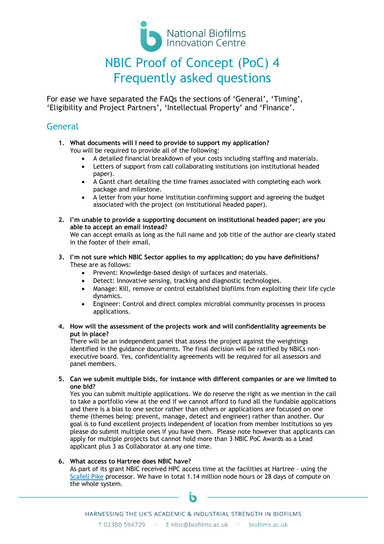

# NBIC Proof of Concept (PoC) 4 Frequently asked questions

For ease we have separated the FAQs the sections of 'General', 'Timing', 'Eligibility and Project Partners', 'Intellectual Property' and 'Finance'.

### General

- **1. What documents will I need to provide to support my application?** You will be required to provide all of the following:
	- A detailed financial breakdown of your costs including staffing and materials.
	- Letters of support from call collaborating institutions (on institutional headed paper).
	- A Gantt chart detailing the time frames associated with completing each work package and milestone.
	- A letter from your home institution confirming support and agreeing the budget associated with the project (on institutional headed paper).
- **2. I'm unable to provide a supporting document on institutional headed paper; are you able to accept an email instead?** We can accept emails as long as the full name and job title of the author are clearly stated in the footer of their email.
- **3. I'm not sure which NBIC Sector applies to my application; do you have definitions?**  These are as follows:
	- Prevent: Knowledge-based design of surfaces and materials.
	- Detect: Innovative sensing, tracking and diagnostic technologies.
	- Manage: Kill, remove or control established biofilms from exploiting their life cycle dynamics.
	- Engineer: Control and direct complex microbial community processes in process applications.
- **4. How will the assessment of the projects work and will confidentiality agreements be put in place?**

There will be an independent panel that assess the project against the weightings identified in the guidance documents. The final decision will be ratified by NBICs nonexecutive board. Yes, confidentiality agreements will be required for all assessors and panel members.

**5. Can we submit multiple bids, for instance with different companies or are we limited to one bid?**

Yes you can submit multiple applications. We do reserve the right as we mention in the call to take a portfolio view at the end if we cannot afford to fund all the fundable applications and there is a bias to one sector rather than others or applications are focussed on one theme (themes being: prevent, manage, detect and engineer) rather than another. Our goal is to fund excellent projects independent of location from member institutions so yes please do submit multiple ones if you have them. Please note however that applicants can apply for multiple projects but cannot hold more than 3 NBIC PoC Awards as a Lead applicant plus 3 as Collaborator at any one time.

#### **6. What access to Hartree does NBIC have?**

As part of its grant NBIC received HPC access time at the facilities at Hartree – using the Scafell Pike processor. We have in total 1.14 million node hours or 28 days of compute on the whole system.

ĪR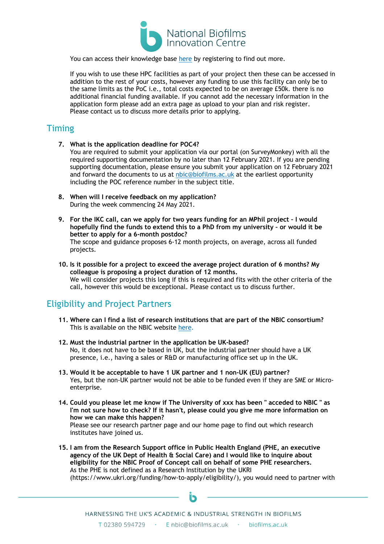

You can access their knowledge base here by registering to find out more.

If you wish to use these HPC facilities as part of your project then these can be accessed in addition to the rest of your costs, however any funding to use this facility can only be to the same limits as the PoC i.e., total costs expected to be on average £50k. there is no additional financial funding available. If you cannot add the necessary information in the application form please add an extra page as upload to your plan and risk register. Please contact us to discuss more details prior to applying.

#### **Timing**

- **7. What is the application deadline for POC4?** You are required to submit your application via our portal (on SurveyMonkey) with all the required supporting documentation by no later than 12 February 2021. If you are pending supporting documentation, please ensure you submit your application on 12 February 2021 and forward the documents to us at nbic@biofilms.ac.uk at the earliest opportunity including the POC reference number in the subject title.
- **8. When will I receive feedback on my application?** During the week commencing 24 May 2021.
- **9. For the IKC call, can we apply for two years funding for an MPhil project – I would hopefully find the funds to extend this to a PhD from my university – or would it be better to apply for a 6-month postdoc?** The scope and guidance proposes 6-12 month projects, on average, across all funded

projects.

**10. Is it possible for a project to exceed the average project duration of 6 months? My colleague is proposing a project duration of 12 months.** We will consider projects this long if this is required and fits with the other criteria of the call, however this would be exceptional. Please contact us to discuss further.

## Eligibility and Project Partners

- **11. Where can I find a list of research institutions that are part of the NBIC consortium?** This is available on the NBIC website here.
- **12. Must the industrial partner in the application be UK-based?** No, it does not have to be based in UK, but the industrial partner should have a UK presence, i.e., having a sales or R&D or manufacturing office set up in the UK.
- **13. Would it be acceptable to have 1 UK partner and 1 non-UK (EU) partner?** Yes, but the non-UK partner would not be able to be funded even if they are SME or Microenterprise.
- **14. Could you please let me know if The University of xxx has been " acceded to NBIC " as I'm not sure how to check? If it hasn't, please could you give me more information on how we can make this happen?** Please see our research partner page and our home page to find out which research institutes have joined us.
- **15. I am from the Research Support office in Public Health England (PHE, an executive agency of the UK Dept of Health & Social Care) and I would like to inquire about eligibility for the NBIC Proof of Concept call on behalf of some PHE researchers.** As the PHE is not defined as a Research Institution by the UKRI (https://www.ukri.org/funding/how-to-apply/eligibility/), you would need to partner with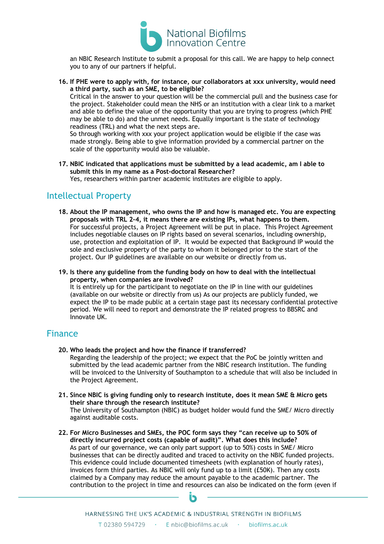

an NBIC Research Institute to submit a proposal for this call. We are happy to help connect you to any of our partners if helpful.

**16. If PHE were to apply with, for instance, our collaborators at xxx university, would need a third party, such as an SME, to be eligible?** Critical in the answer to your question will be the commercial pull and the business case for the project. Stakeholder could mean the NHS or an institution with a clear link to a market and able to define the value of the opportunity that you are trying to progress (which PHE may be able to do) and the unmet needs. Equally important is the state of technology readiness (TRL) and what the next steps are.

So through working with xxx your project application would be eligible if the case was made strongly. Being able to give information provided by a commercial partner on the scale of the opportunity would also be valuable.

**17. NBIC indicated that applications must be submitted by a lead academic, am I able to submit this in my name as a Post-doctoral Researcher?** Yes, researchers within partner academic institutes are eligible to apply.

### Intellectual Property

**18. About the IP management, who owns the IP and how is managed etc. You are expecting proposals with TRL 2-4, it means there are existing IPs, what happens to them.** For successful projects, a Project Agreement will be put in place. This Project Agreement includes negotiable clauses on IP rights based on several scenarios, including ownership, use, protection and exploitation of IP. It would be expected that Background IP would the sole and exclusive property of the party to whom it belonged prior to the start of the project. Our IP guidelines are available on our website or directly from us.

**19. Is there any guideline from the funding body on how to deal with the intellectual property, when companies are involved?** It is entirely up for the participant to negotiate on the IP in line with our guidelines (available on our website or directly from us) As our projects are publicly funded, we expect the IP to be made public at a certain stage past its necessary confidential protective period. We will need to report and demonstrate the IP related progress to BBSRC and Innovate UK.

#### Finance

- **20. Who leads the project and how the finance if transferred?** Regarding the leadership of the project; we expect that the PoC be jointly written and submitted by the lead academic partner from the NBIC research institution. The funding will be invoiced to the University of Southampton to a schedule that will also be included in the Project Agreement.
- **21. Since NBIC is giving funding only to research institute, does it mean SME & Micro gets their share through the research institute?** The University of Southampton (NBIC) as budget holder would fund the SME/ Micro directly against auditable costs.
- **22. For Micro Businesses and SMEs, the POC form says they "can receive up to 50% of directly incurred project costs (capable of audit)". What does this include?** As part of our governance, we can only part support (up to 50%) costs in SME/ Micro businesses that can be directly audited and traced to activity on the NBIC funded projects. This evidence could include documented timesheets (with explanation of hourly rates), invoices form third parties. As NBIC will only fund up to a limit (£50K). Then any costs claimed by a Company may reduce the amount payable to the academic partner. The contribution to the project in time and resources can also be indicated on the form (even if



HARNESSING THE UK'S ACADEMIC & INDUSTRIAL STRENGTH IN BIOFILMS T 02380 594729 · E nbic@biofilms.ac.uk · biofilms.ac.uk